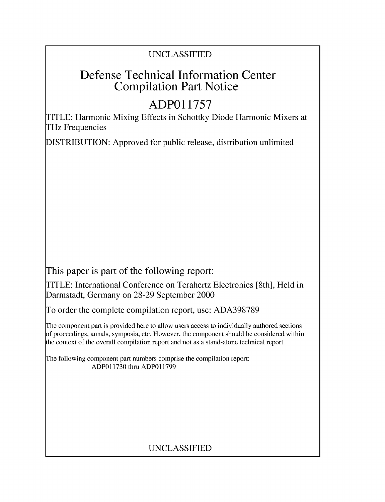## UNCLASSIFIED

## Defense Technical Information Center Compilation Part Notice

# **ADPO1 1757**

TITLE: Harmonic Mixing Effects in Schottky Diode Harmonic Mixers at THz Frequencies

DISTRIBUTION: Approved for public release, distribution unlimited

This paper is part of the following report:

TITLE: International Conference on Terahertz Electronics [8th], Held in Darmstadt, Germany on 28-29 September 2000

To order the complete compilation report, use: ADA398789

The component part is provided here to allow users access to individually authored sections f proceedings, annals, symposia, etc. However, the component should be considered within [he context of the overall compilation report and not as a stand-alone technical report.

The following component part numbers comprise the compilation report: ADPO11730 thru ADP011799

## UNCLASSIFIED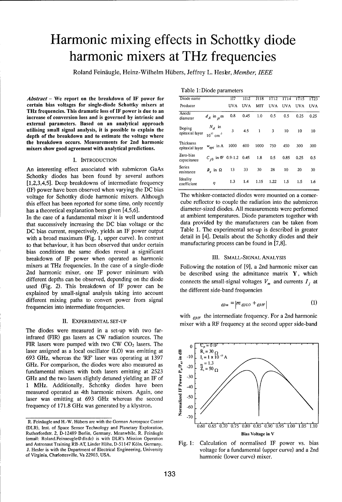# Harmonic mixing effects in Schottky diode harmonic mixers at THz frequencies

Roland Feindugle, Heinz-Wilhelm Hiibers, Jeffrey L. Hesbr, *Member, IEEE*

*Abstract* – We report on the breakdown of IF power for certain bias voltages for single-diode Schottky mixers at THz frequencies. This dramatic loss of IF power is due to an increase of conversion loss and is governed by intrinsic and external parameters. Based on an analytical approach utilising small signal analysis, it is possible to explain the depth of the breakdown and to estimate the voltage where the breakdown occurs. Measurements for 2nd harmonic mixers show good agreement with analytical predictions.

### **I. INTRODUCTION**

An interesting effect associated with submicron GaAs Schottky diodes has been found by several authors [1,2,3,4,5]. Deep breakdowns of intermediate frequency coefficient **1.3** 1.4 **1.15** 1.22 **1.5 1.5 1.6** (IF) power have been observed when varying the DC bias voltage for Schottky diode harmonic mixers. Although The whisker-contacted diodes were mounted on a corner-<br>this effect has been renorted for some time, only recently cube reflector to couple the radiation into the submicr

In the case of a fundamental mixer it is well understood at ambient temperatures. Diode parameters together with<br>that successively increasing the DC bias voltage or the data provided by the manufacturers can be taken from with a broad maximum (Fig. 1, upper curve). In contrast detail in [4]. Details about the Schottky dio<br>to that behaviour, it has been observed that under certain manufacturing process can be found in [7,8]. to that behaviour, it has been observed that under certain bias conditions the same diodes reveal a significant breakdown of IF power when operated as harmonic **III.** SMALL-SIGNAL ANALYSIS mixers at THz frequencies. In the case of a single-diode Following the notation of [9], a 2nd harmonic mixer can 2nd harmonic mixer, one IF power minimum with be described using the admittance matrix  $Y$ , which different depths can be observed, depending on the diode connects the small-signal voltages  $V_m$  and currents  $I_j$  at used (Fig. 2). This breakdown of IF power can be explained by small-signal analysis taking into account different mixing paths to convert power from signal frequencies into intermediate frequencies.

The diodes were measured in a set-up with two farinfrared (FIR) gas lasers as CW radiation sources. The FIR lasers were pumped with two CW CO<sub>2</sub> lasers. The  $\int_{0}^{\infty} \frac{C_p = 0 \text{ fF}}{R_1 = 30 \Omega}$ laser assigned as a local oscillator (LO) was emitting at 693 GHz, whereas the 'RF' laser was operating at 1397 GHz. For comparison, the diodes were also measured as fundamental mixers with both lasers emitting at 2523 GHz 693 GHz, whereas the 'RF' laser was operating at 1397  $\qquad \Xi$  -10  $\uparrow$  I = 1 x 10 <sup>15</sup> A GHz. For comparison, the diodes were also measured as  $e^{\frac{x}{2}}$  -20  $\left[ \begin{array}{cc} n = 1.3 \\ 2 & = 50 \end{array} \right]$ fundamental mixers with both lasers emitting at 2523  $\overline{F}$ <br>GHz and the two lasers slightly detuned vielding an IE of  $\overline{5}$  -30 GHz and the two lasers slightly detuned yielding an IF of 1 MHz. Additionally, Schottky diodes have been  $\sum_{n=0}^{\infty}$  -40 measured operated as 4th harmonic mixers. Again, one laser was emitting at 693 GHz whereas the second frequency of 171.8 GHz was generated by a klystron.  $\ddot{\mathbf{F}}$  .60

Table 1: Diode parameters

| Diode name                   |                                        | 117  | 1112       | J118 | 1T12 | 1T14       | 1T15 | 1123       |
|------------------------------|----------------------------------------|------|------------|------|------|------------|------|------------|
| Producer                     |                                        | UVA  | <b>UVA</b> | MIT  | UVA  | <b>UVA</b> | UVA  | <b>UVA</b> |
| Anode<br>diameter            | $d_A$ in $\mu$ m                       | 0.8  | 0.45       | 1.0  | 0.5  | 0.5        | 0.25 | 0.25       |
| Doping<br>epitaxial layer    | $N_d$ in<br>$10^{17}$ cm <sup>-3</sup> | 3    | 4.5        | 1    | 3    | 10         | 10   | 10         |
| Thickness<br>epitaxial laver | $w_{epi}$ in A                         | 1000 | 600        | 1000 | 750  | 450        | 300  | 300        |
| Zero-bias<br>capacitance     | $C_{i0}$ in fF 0.9-1.2 0.45            |      |            | 1.8  | 0.5  | 0.85       | 0.25 | 0.5        |
| Series<br>resistance         | $R_s$ in $\Omega$                      | 13   | 33         | 30   | 28   | 10         | 20   | 30         |
| Ideality<br>coefficient      | η                                      | 1.3  | 1.4        | 1.15 | 1.22 | 1.5        | 1.5  | 1.6        |

this effect has been reported for some time, only recently cube reflector to couple the radiation into the submicron<br>has a theoretical explanation been given [4.5.6] diameter-sized diodes. All measurements were performed has a theoretical explanation been given [4,5,6]. diameter-sized diodes. All measurements were performed<br>In the case of a fundamental mixer it is well understood at ambient temperatures. Diode parameters together with that successively increasing the DC bias voltage or the data provided by the manufacturers can be taken from<br>DC bias current respectively vields an IF power output Table 1. The experimental set-up is described in greater DC bias current, respectively, yields an IF power output Table 1. The experimental set-up is described in greater<br>with a broad maximum (Fig. 1, upper curve). In contrast detail in [4]. Details about the Schottky diodes and

the different side-band frequencies

$$
_{\omega_{m}}=|m_{\omega_{LO}}+_{\omega_{IF}}| \tag{1}
$$

with  $_{OIF}$  the intermediate frequency. For a 2nd harmonic II. EXPERIMENTAL SET-UP mixer with a RF frequency at the second upper side-band



J. Hesler is with the Department of Electrical Engineering, University voltage for a fundamental (upper curve) and a 2nd

R. Feinäugle and H.-W. Hübers are with the German Aerospace Center Rutherfordstr. 2, D-12489 Berlin, Germany. Meanwhile, R. Feinäugle Bias Voltage in V (email: Roland.Feinaeugle@dlr.de) is with DLR's Mission Operation and Astronaut Training RB-AT, Linder Hihe, D-51147 K61n, Germany. Fig. **1:** Calculation of normalised IF power vs. bias of Virginia, Charlottesville, Va 22903, USA. harmonic (lower curve) mixer.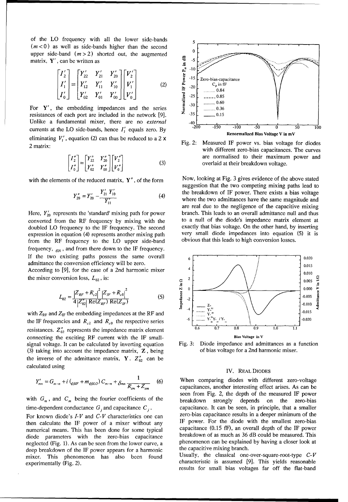of the LO frequency with all the lower side-bands  $(m<0)$  as well as side-bands higher than the second upper side-band  $(m>2)$  shorted out, the augmented matrix, Y', can be written as

$$
\begin{bmatrix} I_2' \\ I_1' \\ I_0' \end{bmatrix} = \begin{bmatrix} Y_2' & Y_2' & Y_{20}' \\ Y_{12}' & Y_{11}' & Y_{10}' \\ Y_{02}' & Y_{01}' & Y_{00}' \end{bmatrix} \begin{bmatrix} V_2' \\ V_1' \\ V_0' \end{bmatrix}
$$
 (2)

For  $Y'$ , the embedding impedances and the series resistances of each port are included in the network [9]. Unlike a fundamental mixer, there are no external currents at the LO side-bands, hence  $I'_1$  equals zero. By eliminating  $V_1'$ , equation (2) can thus be reduced to a 2 x 2 matrix:

$$
\begin{bmatrix} I_2'' \\ I_0'' \end{bmatrix} = \begin{bmatrix} Y_{22}'' & Y_{20}'' \\ Y_{02}'' & Y_{00}'' \end{bmatrix} \begin{bmatrix} V_2'' \\ V_0'' \end{bmatrix}
$$
 (3)

with the elements of the reduced matrix,  $Y''$ , of the form

$$
Y_{20}'' = Y_{20}' - \frac{Y_{21}' Y_{10}'}{Y_{11}'} \tag{4}
$$

Here,  $Y'_{20}$  represents the 'standard' mixing path for power converted from the RF frequency by mixing with the doubled LO frequency to the IF frequency. The second expression in equation (4) represents another mixing path from the RF frequency to the LO upper side-band frequency,  $\omega_1$ , and from there down to the IF frequency. If the two existing paths possess the same overall admittance the conversion efficiency will be zero.

According to [9], for the case of a 2nd harmonic mixer the mixer conversion loss,  $L_{02}$ , is:

$$
L_{02} = \frac{|Z_{RF} + R_{s2}|^2 |Z_{IF} + R_{s0}|^2}{4 |Z_{02}||\text{Re}(Z_{RF})|\text{Re}(Z_{IF})}
$$
(5)

with  $Z_{\text{RF}}$  and  $Z_{\text{IF}}$  the embedding impedances at the RF and the IF frequencies and  $R_{s2}$  and  $R_{s0}$  the respective series resistances.  $Z_{02}''$  represents the impedance matrix element connecting the exciting RF current with the IF smallsignal voltage. It can be calculated by inverting equation (3) taking into account the impedance matrix,  $Z$ , being the inverse of the admittance matrix,  $Y \cdot Z_{02}''$  can be calculated using

$$
Y'_{mn} = G_{m-n} + i \left( \frac{Q_{m-n}}{Q_{m-n}} + \frac{1}{\delta_{mn} R_{sm} + Z_{em}} \right) \tag{6}
$$

with  $G_m$ , and  $C_m$  being the fourier coefficients of the time-dependent conductance  $G_i$  and capacitance  $C_i$ .

For known diode's  $I-V$  and  $C-V$  characteristics one can then calculate the IF power of a mixer without any numerical means. This has been done for some typical diode parameters with the zero-bias capacitance neglected (Fig. 1). As can be seen from the lower curve, a deep breakdown of the IF power appears for a harmonic mixer. This phenomenon has also been found experimentally (Fig. 2).



Measured IF power vs. bias voltage for diodes Fig.  $2$ : with different zero-bias capacitances. The curves are normalised to their maximum power and overlaid at their breakdown voltage.

Now, looking at Fig. 3 gives evidence of the above stated suggestion that the two competing mixing paths lead to the breakdown of IF power. There exists a bias voltage where the two admittances have the same magnitude and are real due to the negligence of the capacitive mixing branch. This leads to an overall admittance null and thus to a null of the diode's impedance matrix element at exactly that bias voltage. On the other hand, by inserting very small diode impedances into equation (5) it is obvious that this leads to high conversion losses.



Fig. 3: Diode impedance and admittances as a function of bias voltage for a 2nd harmonic mixer.

## IV. REAL DIODES

When comparing diodes with different zero-voltage capacitances, another interesting effect arises. As can be seen from Fig. 2, the depth of the measured IF power breakdown strongly depends on the zero-bias capacitance. It can be seen, in principle, that a smaller zero-bias capacitance results in a deeper minimum of the IF power. For the diode with the smallest zero-bias capacitance  $(0.15 \text{ fF})$ , an overall depth of the IF power breakdown of as much as 36 dB could be measured. This phenomenon can be explained by having a closer look at the capacitive mixing branch.

Usually, the classical one-over-square-root-type  $C-V$ characteristic is assumed [9]. This yields reasonable results for small bias voltages far off the flat-band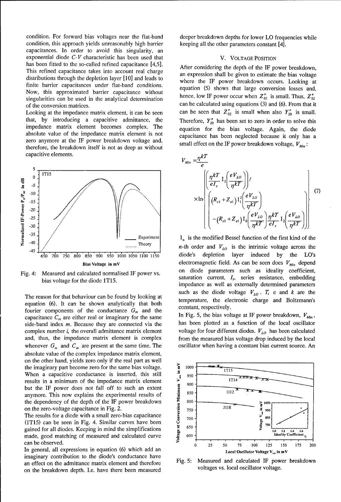condition. For forward bias voltages near the flat-band deeper breakdown depths for lower LO frequencies while condition, this approach yields unreasonably high barrier keeping all the other parameters constant [4]. capacitances. In order to avoid this singularity, an exponential diode **C-V** characteristic has been used that V. **VOLTAGE POSITION** has been fitted to the so-called refined capacitance [4,5]. After considering the depth of the IF power breakdown, This refined capacitance takes into account real charge an expression shall be given to estimate the bias voltage distributions through the depletion layer [10] and leads to where the IF power breakdown occurs. Looking at finite barrier capacitances under flat-band conditions.<br>equation (5) shows that large conversion losses and, Now, this approximated barrier capacitance without  $\frac{1}{2}$  hence, low IF power occur when  $Z_{02}''$  is small. Thus,  $Z_{02}''$  is small. Thus,  $Z_{02}''$ singularities can be used in the analytical determination of the conversion matrices.<br>
of the conversion matrices.<br>
can be calculated using equations (3) and (6). From that it

impedance matrix element becomes complex. The equation for the bias voltage. Again, the diode absolute value of the impedance matrix element is not capacitance has been neglected because it only has a zero anymore at the IF power breakdown voltage and, therefore, the breakdown itself is not as deep as without capacitive elements.



equation (6). It can be shown analytically that both  $\epsilon$  constant, respectively. fourier components of the conductance  $G_m$  and the capacitance  $C_m$  are either real or imaginary for the same In Fig. 5, the bias voltage at IF power breakdown,  $V_{Min}$ , side-band index  $m$ . Because they are connected via the has been plotted as a function of the local oscillator complex number *i*, the overall admittance matrix element voltage for four different diodes.  $V_{LO}$  has been calculated and, thus, the impedance matrix element is complex from the measured bias voltage drop induced by the local whenever  $G_m$  and  $C_m$  are present at the same time. The oscillator when having a constant bias current source. An absolute value of the complex impedance matrix element, on the other hand, yields zero only if the real part as well<br>the imaginary part become zero for the same bias voltage.<br>When a capacitive conductance is inserted, this still<br>results in a minimum of the impedance matrix ele the imaginary part become zero for the same bias voltage.<br>When a capacitive conductance is inserted, this still  $\frac{1}{2}$  950 results in a minimum of the impedance matrix element  $\frac{1}{5}$   $\frac{900}{900}$  11<sup>1</sup> but the IF power does not fall off to such an extent  $\frac{5}{500}$ anymore. This now explains the experimental results of  $\frac{1}{2}$  850  $\frac{1}{2}$  1112 the dependency of the depth of the IF power breakdown<br>on the zero-voltage capacitance in Fig. 2.<br>The results for a diode with a small zero-bias capacitance<br> $\begin{array}{ccc}\n\overline{5} & 800 \\
\overline{25} & 750 \\
\overline{300} & 750\n\end{array}$ on the zero-voltage capacitance in Fig. 2. **E.**  $\frac{2}{5}$  750 -  $\frac{1118}{2}$  950

The results for a diode with a small zero-bias capacitance<br>
(1T15) can be seen in Fig. 4. Similar curves have been<br>
gained for all diodes Keening in mind the simplifications<br>  $\frac{3}{5}$   $\frac{50}{5}$   $\frac{3}{5}$   $\frac{350}{5}$ (1T15) can be seen in Fig. 4. Similar curves have been  $\frac{6}{\pi}$  <sup>750</sup><sup>050</sup> gained for all diodes. Keeping in mind the simplifications **650.**<br>
and alculated curve **600 IS ISO ISO ISO ISO ISO ISO ISO ISO ISO ISO ISO ISO ISO ISO ISO ISO ISO ISO ISO ISO ISO** 

imaginary contribution to the diode's conductance have an effect on the admittance matrix element and therefore Fig. 5: Measured and calculated IF power breakdown<br>on the breakdown donth Le have there been measured voltages vs. local oscillator voltage. on the breakdown depth. I.e. have there been measured

Looking at the impedance matrix element, it can be seen can be seen that  $Z_{02}''$  is small when also  $Y_{20}''$  is small.<br>that, by introducing a capacitive admittance, the Therefore  $Y_{20}''$  has been set to zero in order to Therefore,  $Y_{20}''$  has been set to zero in order to solve this

small effect on the IF power breakdown voltage, 
$$
V_{Min}
$$
:  
\n
$$
V_{Min} = \frac{\eta kT}{e}
$$
\n
$$
\times \ln \left\{ \left( \frac{\eta kT}{eI_s} I_2 \left( \frac{eV_{LO}}{\eta kT} \right) \right) / \left( \frac{eV_{LO}}{\eta kT} \right) \right\}
$$
\n
$$
\times \ln \left\{ \left( (R_{s1} + Z_{e1}) I_1^2 \left( \frac{eV_{LO}}{\eta kT} \right) \frac{eV_{LO}}{\eta kT} \right) \frac{1}{eI_s} I_2 \left( \frac{eV_{LO}}{\eta kT} \right) \right\}
$$
\n(7)

Theory  $n$ -th order and  $V_{LO}$  is the intrinsic voltage across the  $650$  700 750 800 850 900 950 1000 1050 1100 1150 diode's depletion layer induced by the LO's Bias Voltage in mV **electromagnetic field.** As can be seen does  $V_{Min}$  depend Fig. 4: Measured and calculated normalised IF power vs. on diode parameters such as ideality coefficient, bias voltage for the diode 1T15.<br>
bias voltage for the diode 1T15. impedance as well as externally determined parameters such as the diode voltage  $V_{LO}$ . T, e and *k* are the The reason for that behaviour can be found by looking at such as the electronic charge and Boltzmann's  $(6)$ . It are he shared problems and state heat heat